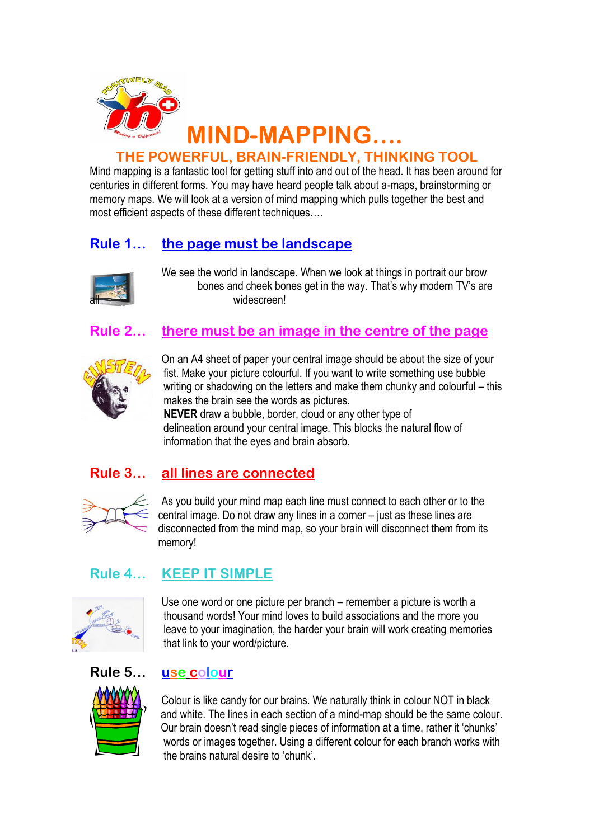

# **THE POWERFUL, BRAIN-FRIENDLY, THINKING TOOL**

Mind mapping is a fantastic tool for getting stuff into and out of the head. It has been around for centuries in different forms. You may have heard people talk about a-maps, brainstorming or memory maps. We will look at a version of mind mapping which pulls together the best and most efficient aspects of these different techniques….

# **Rule 1… the page must be landscape**



We see the world in landscape. When we look at things in portrait our brow bones and cheek bones get in the way. That's why modern TV's are widescreen!

# **Rule 2… there must be an image in the centre of the page**



On an A4 sheet of paper your central image should be about the size of your fist. Make your picture colourful. If you want to write something use bubble writing or shadowing on the letters and make them chunky and colourful – this makes the brain see the words as pictures.

 **NEVER** draw a bubble, border, cloud or any other type of delineation around your central image. This blocks the natural flow of information that the eyes and brain absorb.

# **Rule 3… all lines are connected**



As you build your mind map each line must connect to each other or to the central image. Do not draw any lines in a corner – just as these lines are disconnected from the mind map, so your brain will disconnect them from its memory!

## **Rule 4… KEEP IT SIMPLE**



Use one word or one picture per branch – remember a picture is worth a thousand words! Your mind loves to build associations and the more you leave to your imagination, the harder your brain will work creating memories that link to your word/picture.

### **Rule 5… use colour**



Colour is like candy for our brains. We naturally think in colour NOT in black and white. The lines in each section of a mind-map should be the same colour. Our brain doesn't read single pieces of information at a time, rather it 'chunks' words or images together. Using a different colour for each branch works with the brains natural desire to 'chunk'.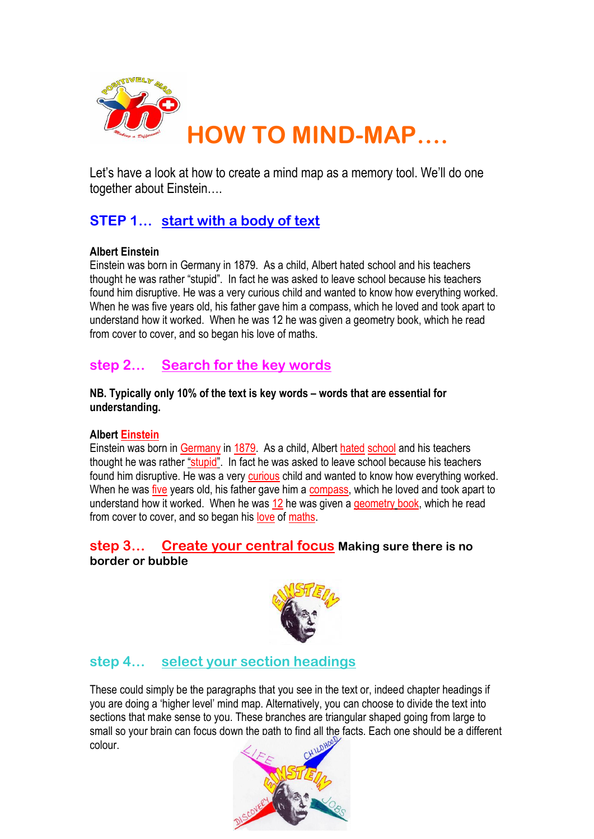

Let's have a look at how to create a mind map as a memory tool. We'll do one together about Einstein….

# **STEP 1… start with a body of text**

#### **Albert Einstein**

Einstein was born in Germany in 1879. As a child, Albert hated school and his teachers thought he was rather "stupid". In fact he was asked to leave school because his teachers found him disruptive. He was a very curious child and wanted to know how everything worked. When he was five years old, his father gave him a compass, which he loved and took apart to understand how it worked. When he was 12 he was given a geometry book, which he read from cover to cover, and so began his love of maths.

## **step 2… Search for the key words**

#### **NB. Typically only 10% of the text is key words – words that are essential for understanding.**

#### **Albert Einstein**

Einstein was born in Germany in 1879. As a child, Albert hated school and his teachers thought he was rather "stupid". In fact he was asked to leave school because his teachers found him disruptive. He was a very curious child and wanted to know how everything worked. When he was five years old, his father gave him a compass, which he loved and took apart to understand how it worked. When he was 12 he was given a geometry book, which he read from cover to cover, and so began his love of maths.

#### **step 3… Create your central focus Making sure there is no border or bubble**



## **step 4… select your section headings**

These could simply be the paragraphs that you see in the text or, indeed chapter headings if you are doing a 'higher level' mind map. Alternatively, you can choose to divide the text into sections that make sense to you. These branches are triangular shaped going from large to small so your brain can focus down the path to find all the facts. Each one should be a different colour.